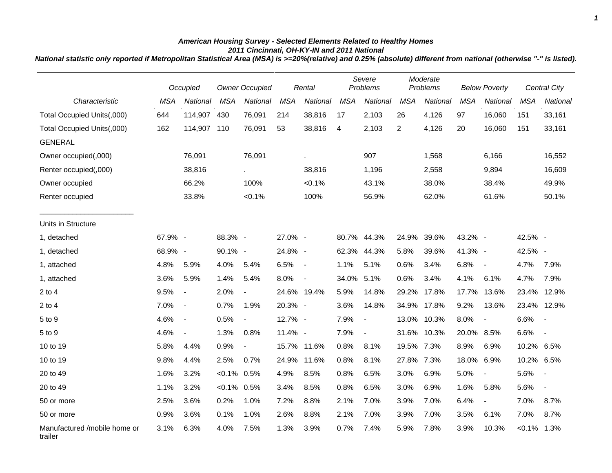## *American Housing Survey - Selected Elements Related to Healthy Homes 2011 Cincinnati, OH-KY-IN and 2011 National*

*National statistic only reported if Metropolitan Statistical Area (MSA) is >=20%(relative) and 0.25% (absolute) different from national (otherwise "-" is listed).*

|                                         |            | Occupied                 |                | <b>Owner Occupied</b>    |            | Rental                   |            | Severe<br>Problems       |                | Moderate<br>Problems |            | <b>Below Poverty</b>     |            | <b>Central City</b>      |
|-----------------------------------------|------------|--------------------------|----------------|--------------------------|------------|--------------------------|------------|--------------------------|----------------|----------------------|------------|--------------------------|------------|--------------------------|
| Characteristic                          | <b>MSA</b> | National                 | <b>MSA</b>     | National                 | <b>MSA</b> | National                 | <b>MSA</b> | National                 | <b>MSA</b>     | National             | <b>MSA</b> | National                 | <b>MSA</b> | National                 |
| Total Occupied Units(,000)              | 644        | 114,907                  | 430            | 76,091                   | 214        | 38,816                   | 17         | 2,103                    | 26             | 4,126                | 97         | 16,060                   | 151        | 33,161                   |
| Total Occupied Units(,000)              | 162        | 114,907                  | 110            | 76,091                   | 53         | 38,816                   | 4          | 2,103                    | $\overline{2}$ | 4,126                | 20         | 16,060                   | 151        | 33,161                   |
| <b>GENERAL</b>                          |            |                          |                |                          |            |                          |            |                          |                |                      |            |                          |            |                          |
| Owner occupied(,000)                    |            | 76,091                   |                | 76,091                   |            |                          |            | 907                      |                | 1,568                |            | 6,166                    |            | 16,552                   |
| Renter occupied(,000)                   |            | 38,816                   |                |                          |            | 38,816                   |            | 1,196                    |                | 2,558                |            | 9,894                    |            | 16,609                   |
| Owner occupied                          |            | 66.2%                    |                | 100%                     |            | $< 0.1\%$                |            | 43.1%                    |                | 38.0%                |            | 38.4%                    |            | 49.9%                    |
| Renter occupied                         |            | 33.8%                    |                | < 0.1%                   |            | 100%                     |            | 56.9%                    |                | 62.0%                |            | 61.6%                    |            | 50.1%                    |
| Units in Structure                      |            |                          |                |                          |            |                          |            |                          |                |                      |            |                          |            |                          |
| 1, detached                             | 67.9% -    |                          | 88.3% -        |                          | 27.0% -    |                          |            | 80.7% 44.3%              | 24.9%          | 39.6%                | 43.2% -    |                          | 42.5% -    |                          |
| 1, detached                             | 68.9% -    |                          | 90.1% -        |                          | 24.8% -    |                          | 62.3%      | 44.3%                    | 5.8%           | 39.6%                | 41.3% -    |                          | 42.5% -    |                          |
| 1, attached                             | 4.8%       | 5.9%                     | 4.0%           | 5.4%                     | 6.5%       | $\overline{\phantom{a}}$ | 1.1%       | 5.1%                     | 0.6%           | 3.4%                 | 6.8%       | $\blacksquare$           | 4.7%       | 7.9%                     |
| 1, attached                             | 3.6%       | 5.9%                     | 1.4%           | 5.4%                     | 8.0%       | $\overline{a}$           | 34.0%      | 5.1%                     | 0.6%           | 3.4%                 | 4.1%       | 6.1%                     | 4.7%       | 7.9%                     |
| $2$ to $4$                              | 9.5%       | $\sim$                   | 2.0%           | $\overline{\phantom{a}}$ |            | 24.6% 19.4%              | 5.9%       | 14.8%                    | 29.2%          | 17.8%                | 17.7%      | 13.6%                    | 23.4%      | 12.9%                    |
| $2$ to $4$                              | 7.0%       | $\blacksquare$           | 0.7%           | 1.9%                     | 20.3% -    |                          | 3.6%       | 14.8%                    |                | 34.9% 17.8%          | 9.2%       | 13.6%                    | 23.4%      | 12.9%                    |
| 5 to 9                                  | 4.6%       | $\overline{\phantom{a}}$ | 0.5%           | $\overline{\phantom{a}}$ | 12.7% -    |                          | 7.9%       | $\overline{\phantom{a}}$ |                | 13.0% 10.3%          | 8.0%       | $\blacksquare$           | 6.6%       | $\overline{\phantom{a}}$ |
| 5 to 9                                  | 4.6%       | $\overline{\phantom{a}}$ | 1.3%           | 0.8%                     | 11.4% -    |                          | 7.9%       | $\overline{\phantom{a}}$ |                | 31.6% 10.3%          | 20.0% 8.5% |                          | 6.6%       | $\overline{\phantom{a}}$ |
| 10 to 19                                | 5.8%       | 4.4%                     | 0.9%           | $\overline{\phantom{a}}$ |            | 15.7% 11.6%              | 0.8%       | 8.1%                     | 19.5% 7.3%     |                      | 8.9%       | 6.9%                     | 10.2%      | 6.5%                     |
| 10 to 19                                | 9.8%       | 4.4%                     | 2.5%           | 0.7%                     |            | 24.9% 11.6%              | 0.8%       | 8.1%                     | 27.8%          | 7.3%                 | 18.0%      | 6.9%                     | 10.2% 6.5% |                          |
| 20 to 49                                | 1.6%       | 3.2%                     | $< 0.1\%$ 0.5% |                          | 4.9%       | 8.5%                     | 0.8%       | 6.5%                     | 3.0%           | 6.9%                 | 5.0%       | $\blacksquare$           | 5.6%       | $\overline{\phantom{a}}$ |
| 20 to 49                                | 1.1%       | 3.2%                     | $< 0.1\%$ 0.5% |                          | 3.4%       | 8.5%                     | 0.8%       | 6.5%                     | 3.0%           | 6.9%                 | 1.6%       | 5.8%                     | 5.6%       | $\overline{\phantom{a}}$ |
| 50 or more                              | 2.5%       | 3.6%                     | 0.2%           | 1.0%                     | 7.2%       | 8.8%                     | 2.1%       | 7.0%                     | 3.9%           | 7.0%                 | 6.4%       | $\overline{\phantom{a}}$ | 7.0%       | 8.7%                     |
| 50 or more                              | 0.9%       | 3.6%                     | 0.1%           | 1.0%                     | 2.6%       | 8.8%                     | 2.1%       | 7.0%                     | 3.9%           | 7.0%                 | 3.5%       | 6.1%                     | 7.0%       | 8.7%                     |
| Manufactured /mobile home or<br>trailer | 3.1%       | 6.3%                     | 4.0%           | 7.5%                     | 1.3%       | 3.9%                     | 0.7%       | 7.4%                     | 5.9%           | 7.8%                 | 3.9%       | 10.3%                    | $< 0.1\%$  | 1.3%                     |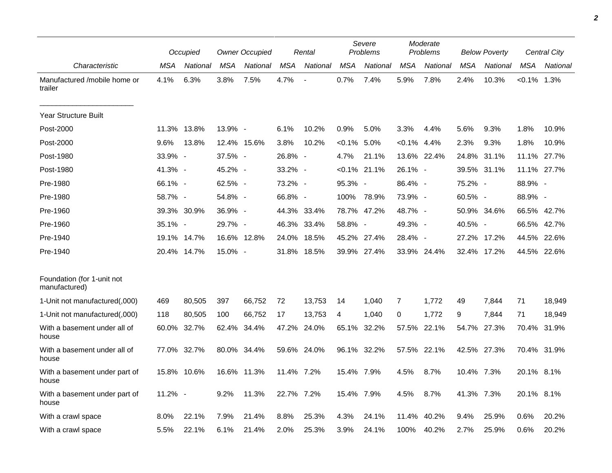|                                             |         | Occupied    |            | <b>Owner Occupied</b> |            | Rental                   |                | Severe<br>Problems |                | Moderate<br><b>Problems</b> |            | <b>Below Poverty</b> |                | Central City |
|---------------------------------------------|---------|-------------|------------|-----------------------|------------|--------------------------|----------------|--------------------|----------------|-----------------------------|------------|----------------------|----------------|--------------|
| Characteristic                              | MSA     | National    | MSA        | National              | MSA        | National                 | MSA            | National           | MSA            | National                    | <b>MSA</b> | National             | <b>MSA</b>     | National     |
| Manufactured /mobile home or<br>trailer     | 4.1%    | 6.3%        | 3.8%       | 7.5%                  | 4.7%       | $\overline{\phantom{a}}$ | 0.7%           | 7.4%               | 5.9%           | 7.8%                        | 2.4%       | 10.3%                | $< 0.1\%$ 1.3% |              |
| <b>Year Structure Built</b>                 |         |             |            |                       |            |                          |                |                    |                |                             |            |                      |                |              |
| Post-2000                                   | 11.3%   | 13.8%       | 13.9% -    |                       | 6.1%       | 10.2%                    | 0.9%           | 5.0%               | 3.3%           | 4.4%                        | 5.6%       | 9.3%                 | 1.8%           | 10.9%        |
| Post-2000                                   | 9.6%    | 13.8%       |            | 12.4% 15.6%           | 3.8%       | 10.2%                    | $< 0.1\%$ 5.0% |                    | $< 0.1\%$ 4.4% |                             | 2.3%       | 9.3%                 | 1.8%           | 10.9%        |
| Post-1980                                   | 33.9% - |             | 37.5% -    |                       | 26.8% -    |                          | 4.7%           | 21.1%              |                | 13.6% 22.4%                 | 24.8%      | 31.1%                | 11.1%          | 27.7%        |
| Post-1980                                   | 41.3% - |             | 45.2% -    |                       | 33.2% -    |                          |                | $< 0.1\%$ 21.1%    | $26.1\% -$     |                             |            | 39.5% 31.1%          |                | 11.1% 27.7%  |
| Pre-1980                                    | 66.1% - |             | 62.5% -    |                       | 73.2% -    |                          | 95.3% -        |                    | 86.4% -        |                             | 75.2% -    |                      | 88.9% -        |              |
| Pre-1980                                    | 58.7% - |             | 54.8% -    |                       | 66.8% -    |                          | 100%           | 78.9%              | 73.9% -        |                             | 60.5% -    |                      | 88.9% -        |              |
| Pre-1960                                    |         | 39.3% 30.9% | 36.9% -    |                       |            | 44.3% 33.4%              | 78.7%          | 47.2%              | 48.7% -        |                             |            | 50.9% 34.6%          |                | 66.5% 42.7%  |
| Pre-1960                                    | 35.1% - |             | 29.7% -    |                       |            | 46.3% 33.4%              | 58.8% -        |                    | 49.3% -        |                             | 40.5% -    |                      |                | 66.5% 42.7%  |
| Pre-1940                                    | 19.1%   | 14.7%       |            | 16.6% 12.8%           | 24.0%      | 18.5%                    | 45.2%          | 27.4%              | 28.4% -        |                             | 27.2%      | 17.2%                | 44.5%          | 22.6%        |
| Pre-1940                                    |         | 20.4% 14.7% | $15.0\%$ - |                       |            | 31.8% 18.5%              |                | 39.9% 27.4%        |                | 33.9% 24.4%                 |            | 32.4% 17.2%          |                | 44.5% 22.6%  |
| Foundation (for 1-unit not<br>manufactured) |         |             |            |                       |            |                          |                |                    |                |                             |            |                      |                |              |
| 1-Unit not manufactured(,000)               | 469     | 80,505      | 397        | 66,752                | 72         | 13,753                   | 14             | 1,040              | 7              | 1.772                       | 49         | 7,844                | 71             | 18,949       |
| 1-Unit not manufactured(,000)               | 118     | 80,505      | 100        | 66,752                | 17         | 13,753                   | 4              | 1,040              | 0              | 1.772                       | 9          | 7,844                | 71             | 18,949       |
| With a basement under all of<br>house       | 60.0%   | 32.7%       | 62.4%      | 34.4%                 | 47.2%      | 24.0%                    | 65.1%          | 32.2%              | 57.5%          | 22.1%                       | 54.7%      | 27.3%                | 70.4%          | 31.9%        |
| With a basement under all of<br>house       | 77.0%   | 32.7%       |            | 80.0% 34.4%           |            | 59.6% 24.0%              |                | 96.1% 32.2%        | 57.5%          | 22.1%                       |            | 42.5% 27.3%          |                | 70.4% 31.9%  |
| With a basement under part of<br>house      |         | 15.8% 10.6% |            | 16.6% 11.3%           | 11.4% 7.2% |                          | 15.4% 7.9%     |                    | 4.5%           | 8.7%                        | 10.4% 7.3% |                      | 20.1% 8.1%     |              |
| With a basement under part of<br>house      | 11.2% - |             | 9.2%       | 11.3%                 | 22.7% 7.2% |                          | 15.4% 7.9%     |                    | 4.5%           | 8.7%                        | 41.3% 7.3% |                      | 20.1% 8.1%     |              |
| With a crawl space                          | 8.0%    | 22.1%       | 7.9%       | 21.4%                 | 8.8%       | 25.3%                    | 4.3%           | 24.1%              | 11.4%          | 40.2%                       | 9.4%       | 25.9%                | 0.6%           | 20.2%        |
| With a crawl space                          | 5.5%    | 22.1%       | 6.1%       | 21.4%                 | 2.0%       | 25.3%                    | 3.9%           | 24.1%              | 100%           | 40.2%                       | 2.7%       | 25.9%                | 0.6%           | 20.2%        |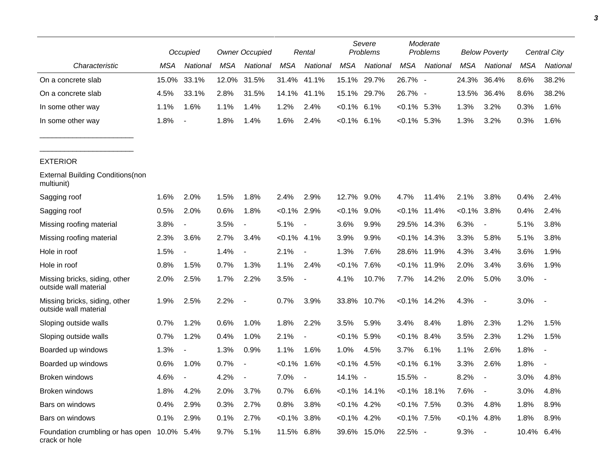|                                                              |       | Occupied                 |       | <b>Owner Occupied</b>    |                | Rental                   |                | Severe<br>Problems |                 | Moderate<br>Problems |                | <b>Below Poverty</b>     |            | Central City   |
|--------------------------------------------------------------|-------|--------------------------|-------|--------------------------|----------------|--------------------------|----------------|--------------------|-----------------|----------------------|----------------|--------------------------|------------|----------------|
| Characteristic                                               | MSA   | National                 | MSA   | National                 | <b>MSA</b>     | National                 | <b>MSA</b>     | National           | <b>MSA</b>      | National             | <b>MSA</b>     | National                 | <b>MSA</b> | National       |
| On a concrete slab                                           | 15.0% | 33.1%                    | 12.0% | 31.5%                    | 31.4%          | 41.1%                    | 15.1%          | 29.7%              | 26.7% -         |                      | 24.3%          | 36.4%                    | 8.6%       | 38.2%          |
| On a concrete slab                                           | 4.5%  | 33.1%                    | 2.8%  | 31.5%                    | 14.1%          | 41.1%                    | 15.1%          | 29.7%              | 26.7% -         |                      | 13.5%          | 36.4%                    | 8.6%       | 38.2%          |
| In some other way                                            | 1.1%  | 1.6%                     | 1.1%  | 1.4%                     | 1.2%           | 2.4%                     | $< 0.1\%$      | 6.1%               | $< 0.1\%$ 5.3%  |                      | 1.3%           | 3.2%                     | 0.3%       | 1.6%           |
| In some other way                                            | 1.8%  | $\overline{\phantom{a}}$ | 1.8%  | 1.4%                     | 1.6%           | 2.4%                     | $< 0.1\%$      | 6.1%               | $< 0.1\%$ 5.3%  |                      | 1.3%           | 3.2%                     | 0.3%       | 1.6%           |
| <b>EXTERIOR</b>                                              |       |                          |       |                          |                |                          |                |                    |                 |                      |                |                          |            |                |
| <b>External Building Conditions (non</b><br>multiunit)       |       |                          |       |                          |                |                          |                |                    |                 |                      |                |                          |            |                |
| Sagging roof                                                 | 1.6%  | 2.0%                     | 1.5%  | 1.8%                     | 2.4%           | 2.9%                     | 12.7%          | 9.0%               | 4.7%            | 11.4%                | 2.1%           | 3.8%                     | 0.4%       | 2.4%           |
| Sagging roof                                                 | 0.5%  | 2.0%                     | 0.6%  | 1.8%                     | $< 0.1\%$ 2.9% |                          | $< 0.1\%$      | 9.0%               | $< 0.1\%$       | 11.4%                | $< 0.1\%$      | 3.8%                     | 0.4%       | 2.4%           |
| Missing roofing material                                     | 3.8%  | $\overline{\phantom{a}}$ | 3.5%  | $\overline{\phantom{a}}$ | 5.1%           | $\overline{\phantom{a}}$ | 3.6%           | 9.9%               | 29.5%           | 14.3%                | 6.3%           | $\overline{\phantom{a}}$ | 5.1%       | 3.8%           |
| Missing roofing material                                     | 2.3%  | 3.6%                     | 2.7%  | 3.4%                     | $< 0.1\%$      | 4.1%                     | 3.9%           | 9.9%               | $< 0.1\%$       | 14.3%                | 3.3%           | 5.8%                     | 5.1%       | 3.8%           |
| Hole in roof                                                 | 1.5%  | $\overline{\phantom{a}}$ | 1.4%  | $\overline{\phantom{a}}$ | 2.1%           | $\overline{\phantom{a}}$ | 1.3%           | 7.6%               | 28.6%           | 11.9%                | 4.3%           | 3.4%                     | 3.6%       | 1.9%           |
| Hole in roof                                                 | 0.8%  | 1.5%                     | 0.7%  | 1.3%                     | 1.1%           | 2.4%                     | $< 0.1\%$      | 7.6%               | $< 0.1\%$       | 11.9%                | 2.0%           | 3.4%                     | 3.6%       | 1.9%           |
| Missing bricks, siding, other<br>outside wall material       | 2.0%  | 2.5%                     | 1.7%  | 2.2%                     | 3.5%           | $\overline{\phantom{a}}$ | 4.1%           | 10.7%              | 7.7%            | 14.2%                | 2.0%           | 5.0%                     | 3.0%       | $\blacksquare$ |
| Missing bricks, siding, other<br>outside wall material       | 1.9%  | 2.5%                     | 2.2%  | $\blacksquare$           | 0.7%           | 3.9%                     | 33.8%          | 10.7%              | $< 0.1\%$ 14.2% |                      | 4.3%           | $\overline{\phantom{a}}$ | 3.0%       | $\sim$         |
| Sloping outside walls                                        | 0.7%  | 1.2%                     | 0.6%  | 1.0%                     | 1.8%           | 2.2%                     | 3.5%           | 5.9%               | 3.4%            | 8.4%                 | 1.8%           | 2.3%                     | 1.2%       | 1.5%           |
| Sloping outside walls                                        | 0.7%  | 1.2%                     | 0.4%  | 1.0%                     | 2.1%           |                          | $< 0.1\%$      | 5.9%               | $< 0.1\%$       | 8.4%                 | 3.5%           | 2.3%                     | 1.2%       | 1.5%           |
| Boarded up windows                                           | 1.3%  | $\overline{a}$           | 1.3%  | 0.9%                     | 1.1%           | 1.6%                     | 1.0%           | 4.5%               | 3.7%            | 6.1%                 | 1.1%           | 2.6%                     | 1.8%       | $\blacksquare$ |
| Boarded up windows                                           | 0.6%  | 1.0%                     | 0.7%  |                          | $< 0.1\%$      | 1.6%                     | $< 0.1\%$      | 4.5%               | $<0.1\%$ 6.1%   |                      | 3.3%           | 2.6%                     | 1.8%       |                |
| Broken windows                                               | 4.6%  | $\blacksquare$           | 4.2%  |                          | 7.0%           | $\overline{\phantom{a}}$ | $14.1\%$ -     |                    | 15.5% -         |                      | 8.2%           |                          | 3.0%       | 4.8%           |
| Broken windows                                               | 1.8%  | 4.2%                     | 2.0%  | 3.7%                     | 0.7%           | 6.6%                     |                | $< 0.1\%$ 14.1%    |                 | $< 0.1\%$ 18.1%      | 7.6%           | $\blacksquare$           | 3.0%       | 4.8%           |
| Bars on windows                                              | 0.4%  | 2.9%                     | 0.3%  | 2.7%                     | 0.8%           | 3.8%                     | $< 0.1\%$ 4.2% |                    | $< 0.1\%$ 7.5%  |                      | 0.3%           | 4.8%                     | 1.8%       | 8.9%           |
| Bars on windows                                              | 0.1%  | 2.9%                     | 0.1%  | 2.7%                     | $<0.1\%$ 3.8%  |                          | $< 0.1\%$ 4.2% |                    | $< 0.1\%$ 7.5%  |                      | $< 0.1\%$ 4.8% |                          | 1.8%       | 8.9%           |
| Foundation crumbling or has open 10.0% 5.4%<br>crack or hole |       |                          | 9.7%  | 5.1%                     | 11.5% 6.8%     |                          |                | 39.6% 15.0%        | 22.5% -         |                      | $9.3\%$ -      |                          | 10.4% 6.4% |                |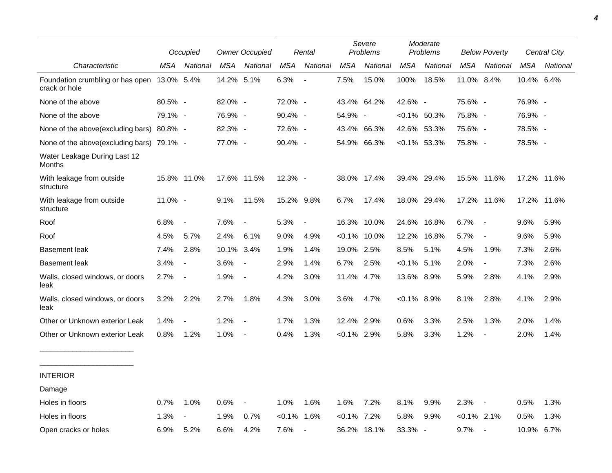|                                                   |            | Occupied                 |            | <b>Owner Occupied</b>    |            | Rental                   |                | Severe<br>Problems |                | Moderate<br>Problems |                | <b>Below Poverty</b>     |             | <b>Central City</b> |
|---------------------------------------------------|------------|--------------------------|------------|--------------------------|------------|--------------------------|----------------|--------------------|----------------|----------------------|----------------|--------------------------|-------------|---------------------|
| Characteristic                                    | MSA        | National                 | MSA        | National                 | MSA        | National                 | MSA            | National           | MSA            | National             | MSA            | National                 | MSA         | National            |
| Foundation crumbling or has open<br>crack or hole | 13.0% 5.4% |                          | 14.2% 5.1% |                          | 6.3%       | $\overline{\phantom{a}}$ | 7.5%           | 15.0%              | 100%           | 18.5%                | 11.0% 8.4%     |                          | 10.4% 6.4%  |                     |
| None of the above                                 | 80.5% -    |                          | 82.0% -    |                          | 72.0% -    |                          |                | 43.4% 64.2%        | 42.6% -        |                      | 75.6% -        |                          | 76.9% -     |                     |
| None of the above                                 | 79.1% -    |                          | 76.9% -    |                          | $90.4\%$ - |                          | 54.9% -        |                    |                | $<0.1\%$ 50.3%       | 75.8% -        |                          | 76.9% -     |                     |
| None of the above (excluding bars)                | 80.8% -    |                          | 82.3% -    |                          | 72.6% -    |                          |                | 43.4% 66.3%        |                | 42.6% 53.3%          | 75.6% -        |                          | 78.5% -     |                     |
| None of the above(excluding bars) 79.1% -         |            |                          | 77.0% -    |                          | 90.4% -    |                          |                | 54.9% 66.3%        |                | $< 0.1\%$ 53.3%      | 75.8% -        |                          | 78.5% -     |                     |
| Water Leakage During Last 12<br><b>Months</b>     |            |                          |            |                          |            |                          |                |                    |                |                      |                |                          |             |                     |
| With leakage from outside<br>structure            |            | 15.8% 11.0%              |            | 17.6% 11.5%              | 12.3% -    |                          |                | 38.0% 17.4%        |                | 39.4% 29.4%          | 15.5% 11.6%    |                          |             | 17.2% 11.6%         |
| With leakage from outside<br>structure            | 11.0% -    |                          | 9.1%       | 11.5%                    | 15.2% 9.8% |                          | 6.7%           | 17.4%              |                | 18.0% 29.4%          | 17.2% 11.6%    |                          | 17.2% 11.6% |                     |
| Roof                                              | 6.8%       | $\overline{\phantom{a}}$ | 7.6%       |                          | 5.3%       | $\sim$                   |                | 16.3% 10.0%        | 24.6%          | 16.8%                | 6.7%           | $\overline{\phantom{a}}$ | 9.6%        | 5.9%                |
| Roof                                              | 4.5%       | 5.7%                     | 2.4%       | 6.1%                     | 9.0%       | 4.9%                     |                | $< 0.1\%$ 10.0%    | 12.2%          | 16.8%                | 5.7%           | $\overline{\phantom{a}}$ | 9.6%        | 5.9%                |
| <b>Basement leak</b>                              | 7.4%       | 2.8%                     | 10.1% 3.4% |                          | 1.9%       | 1.4%                     | 19.0% 2.5%     |                    | 8.5%           | 5.1%                 | 4.5%           | 1.9%                     | 7.3%        | 2.6%                |
| <b>Basement leak</b>                              | 3.4%       | $\sim$                   | 3.6%       | $\overline{\phantom{a}}$ | 2.9%       | 1.4%                     | 6.7%           | 2.5%               | $< 0.1\%$ 5.1% |                      | 2.0%           | $\overline{\phantom{a}}$ | 7.3%        | 2.6%                |
| Walls, closed windows, or doors<br>leak           | 2.7%       | $\overline{\phantom{a}}$ | 1.9%       | $\blacksquare$           | 4.2%       | 3.0%                     | 11.4% 4.7%     |                    | 13.6% 8.9%     |                      | 5.9%           | 2.8%                     | 4.1%        | 2.9%                |
| Walls, closed windows, or doors<br>leak           | 3.2%       | 2.2%                     | 2.7%       | 1.8%                     | 4.3%       | 3.0%                     | 3.6%           | 4.7%               | $<0.1\%$ 8.9%  |                      | 8.1%           | 2.8%                     | 4.1%        | 2.9%                |
| Other or Unknown exterior Leak                    | 1.4%       |                          | 1.2%       |                          | 1.7%       | 1.3%                     | 12.4% 2.9%     |                    | 0.6%           | 3.3%                 | 2.5%           | 1.3%                     | 2.0%        | 1.4%                |
| Other or Unknown exterior Leak                    | 0.8%       | 1.2%                     | 1.0%       |                          | 0.4%       | 1.3%                     | $<0.1\%$ 2.9%  |                    | 5.8%           | 3.3%                 | 1.2%           | $\overline{\phantom{a}}$ | 2.0%        | 1.4%                |
| <b>INTERIOR</b>                                   |            |                          |            |                          |            |                          |                |                    |                |                      |                |                          |             |                     |
| Damage                                            |            |                          |            |                          |            |                          |                |                    |                |                      |                |                          |             |                     |
| Holes in floors                                   | 0.7%       | 1.0%                     | 0.6%       | $\overline{\phantom{a}}$ | 1.0%       | 1.6%                     | 1.6%           | 7.2%               | 8.1%           | 9.9%                 | 2.3%           | $\overline{\phantom{a}}$ | 0.5%        | 1.3%                |
| Holes in floors                                   | 1.3%       |                          | 1.9%       | 0.7%                     | $< 0.1\%$  | 1.6%                     | $< 0.1\%$ 7.2% |                    | 5.8%           | 9.9%                 | $< 0.1\%$ 2.1% |                          | 0.5%        | 1.3%                |
| Open cracks or holes                              | $6.9\%$    | 5.2%                     | 6.6%       | 4.2%                     | 7.6%       | $\overline{\phantom{a}}$ |                | 36.2% 18.1%        | 33.3% -        |                      | 9.7%           | $\overline{\phantom{a}}$ | 10.9% 6.7%  |                     |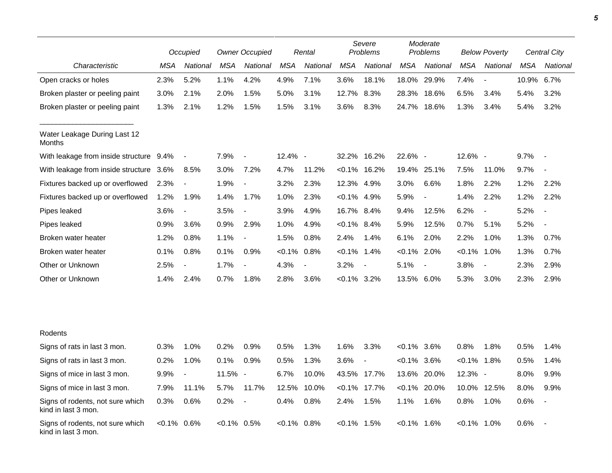|                                                         |               | Occupied                 |               | <b>Owner Occupied</b>    |            | Rental         |                | Severe<br>Problems       |                | Moderate<br>Problems     |                | <b>Below Poverty</b>     |       | Central City             |
|---------------------------------------------------------|---------------|--------------------------|---------------|--------------------------|------------|----------------|----------------|--------------------------|----------------|--------------------------|----------------|--------------------------|-------|--------------------------|
| Characteristic                                          | MSA           | National                 | MSA           | National                 | <b>MSA</b> | National       | <b>MSA</b>     | National                 | <b>MSA</b>     | National                 | <b>MSA</b>     | National                 | MSA   | National                 |
| Open cracks or holes                                    | 2.3%          | 5.2%                     | 1.1%          | 4.2%                     | 4.9%       | 7.1%           | 3.6%           | 18.1%                    | 18.0%          | 29.9%                    | 7.4%           |                          | 10.9% | 6.7%                     |
| Broken plaster or peeling paint                         | 3.0%          | 2.1%                     | 2.0%          | 1.5%                     | 5.0%       | 3.1%           | 12.7%          | 8.3%                     | 28.3%          | 18.6%                    | 6.5%           | 3.4%                     | 5.4%  | 3.2%                     |
| Broken plaster or peeling paint                         | 1.3%          | 2.1%                     | 1.2%          | 1.5%                     | 1.5%       | 3.1%           | 3.6%           | 8.3%                     | 24.7%          | 18.6%                    | 1.3%           | 3.4%                     | 5.4%  | 3.2%                     |
| Water Leakage During Last 12<br>Months                  |               |                          |               |                          |            |                |                |                          |                |                          |                |                          |       |                          |
| With leakage from inside structure                      | 9.4%          | $\overline{\phantom{a}}$ | 7.9%          | $\overline{\phantom{a}}$ | 12.4% -    |                | 32.2%          | 16.2%                    | 22.6% -        |                          | $12.6\%$ -     |                          | 9.7%  |                          |
| With leakage from inside structure                      | 3.6%          | 8.5%                     | 3.0%          | 7.2%                     | 4.7%       | 11.2%          | $< 0.1\%$      | 16.2%                    |                | 19.4% 25.1%              | 7.5%           | 11.0%                    | 9.7%  |                          |
| Fixtures backed up or overflowed                        | 2.3%          | $\overline{\phantom{a}}$ | 1.9%          | $\overline{\phantom{a}}$ | 3.2%       | 2.3%           | 12.3%          | 4.9%                     | 3.0%           | 6.6%                     | 1.8%           | 2.2%                     | 1.2%  | 2.2%                     |
| Fixtures backed up or overflowed                        | 1.2%          | 1.9%                     | 1.4%          | 1.7%                     | 1.0%       | 2.3%           | $< 0.1\%$ 4.9% |                          | 5.9%           |                          | 1.4%           | 2.2%                     | 1.2%  | 2.2%                     |
| Pipes leaked                                            | 3.6%          | $\overline{\phantom{a}}$ | 3.5%          | $\overline{\phantom{a}}$ | 3.9%       | 4.9%           | 16.7% 8.4%     |                          | 9.4%           | 12.5%                    | 6.2%           | $\overline{\phantom{a}}$ | 5.2%  | $\overline{\phantom{a}}$ |
| Pipes leaked                                            | 0.9%          | 3.6%                     | $0.9\%$       | 2.9%                     | 1.0%       | 4.9%           | $<0.1\%$ 8.4%  |                          | 5.9%           | 12.5%                    | 0.7%           | 5.1%                     | 5.2%  | $\blacksquare$           |
| Broken water heater                                     | 1.2%          | 0.8%                     | 1.1%          | $\blacksquare$           | 1.5%       | 0.8%           | 2.4%           | 1.4%                     | 6.1%           | 2.0%                     | 2.2%           | 1.0%                     | 1.3%  | 0.7%                     |
| Broken water heater                                     | 0.1%          | 0.8%                     | 0.1%          | 0.9%                     | $< 0.1\%$  | 0.8%           | $< 0.1\%$ 1.4% |                          | $< 0.1\%$ 2.0% |                          | $< 0.1\%$      | 1.0%                     | 1.3%  | 0.7%                     |
| Other or Unknown                                        | 2.5%          | $\overline{\phantom{a}}$ | 1.7%          |                          | 4.3%       | $\blacksquare$ | 3.2%           | $\blacksquare$           | 5.1%           | $\overline{\phantom{a}}$ | 3.8%           | $\overline{\phantom{a}}$ | 2.3%  | 2.9%                     |
| Other or Unknown                                        | 1.4%          | 2.4%                     | 0.7%          | 1.8%                     | 2.8%       | 3.6%           | $< 0.1\%$ 3.2% |                          | 13.5% 6.0%     |                          | 5.3%           | 3.0%                     | 2.3%  | 2.9%                     |
|                                                         |               |                          |               |                          |            |                |                |                          |                |                          |                |                          |       |                          |
| Rodents                                                 |               |                          |               |                          |            |                |                |                          |                |                          |                |                          |       |                          |
| Signs of rats in last 3 mon.                            | 0.3%          | 1.0%                     | 0.2%          | 0.9%                     | 0.5%       | 1.3%           | 1.6%           | 3.3%                     | $< 0.1\%$ 3.6% |                          | 0.8%           | 1.8%                     | 0.5%  | 1.4%                     |
| Signs of rats in last 3 mon.                            | 0.2%          | 1.0%                     | 0.1%          | 0.9%                     | 0.5%       | 1.3%           | 3.6%           | $\overline{\phantom{a}}$ | $< 0.1\%$      | 3.6%                     | $< 0.1\%$      | 1.8%                     | 0.5%  | 1.4%                     |
| Signs of mice in last 3 mon.                            | 9.9%          | $\overline{\phantom{a}}$ | 11.5% -       |                          | 6.7%       | 10.0%          |                | 43.5% 17.7%              |                | 13.6% 20.0%              | $12.3%$ -      |                          | 8.0%  | 9.9%                     |
| Signs of mice in last 3 mon.                            | 7.9%          | 11.1%                    | 5.7%          | 11.7%                    | 12.5%      | 10.0%          | $< 0.1\%$      | 17.7%                    |                | $< 0.1\%$ 20.0%          | 10.0%          | 12.5%                    | 8.0%  | 9.9%                     |
| Signs of rodents, not sure which<br>kind in last 3 mon. | 0.3%          | 0.6%                     | 0.2%          | $\overline{\phantom{a}}$ | 0.4%       | 0.8%           | 2.4%           | 1.5%                     | 1.1%           | 1.6%                     | 0.8%           | 1.0%                     | 0.6%  | $\overline{\phantom{a}}$ |
| Signs of rodents, not sure which<br>kind in last 3 mon. | $<0.1\%$ 0.6% |                          | $<0.1\%$ 0.5% |                          | <0.1%      | 0.8%           | $< 0.1\%$ 1.5% |                          | $< 0.1\%$      | 1.6%                     | $< 0.1\%$ 1.0% |                          | 0.6%  |                          |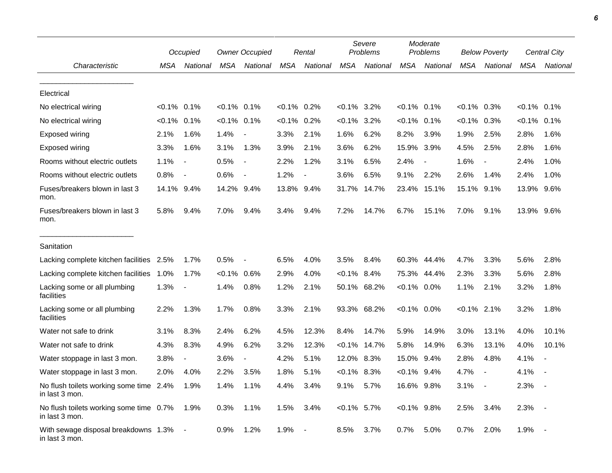|                                                                |                | Occupied                 |                | <b>Owner Occupied</b>    |                | Rental         |                | Severe<br>Problems |                | Moderate<br>Problems |                | <b>Below Poverty</b>     |                | Central City |
|----------------------------------------------------------------|----------------|--------------------------|----------------|--------------------------|----------------|----------------|----------------|--------------------|----------------|----------------------|----------------|--------------------------|----------------|--------------|
| Characteristic                                                 | MSA            | National                 | MSA            | National                 | MSA            | National       | <b>MSA</b>     | National           | <b>MSA</b>     | National             | <b>MSA</b>     | National                 | <b>MSA</b>     | National     |
| Electrical                                                     |                |                          |                |                          |                |                |                |                    |                |                      |                |                          |                |              |
| No electrical wiring                                           | $< 0.1\%$ 0.1% |                          | $< 0.1\%$ 0.1% |                          | $< 0.1\%$ 0.2% |                | $< 0.1\%$ 3.2% |                    | $< 0.1\%$ 0.1% |                      | $< 0.1\%$ 0.3% |                          | $< 0.1\%$ 0.1% |              |
| No electrical wiring                                           | $< 0.1\%$ 0.1% |                          | $< 0.1\%$ 0.1% |                          | $< 0.1\%$      | 0.2%           | $< 0.1\%$      | 3.2%               | $< 0.1\%$      | 0.1%                 | $< 0.1\%$      | 0.3%                     | $< 0.1\%$ 0.1% |              |
| Exposed wiring                                                 | 2.1%           | 1.6%                     | 1.4%           |                          | 3.3%           | 2.1%           | 1.6%           | 6.2%               | 8.2%           | 3.9%                 | 1.9%           | 2.5%                     | 2.8%           | 1.6%         |
| Exposed wiring                                                 | 3.3%           | 1.6%                     | 3.1%           | 1.3%                     | 3.9%           | 2.1%           | 3.6%           | 6.2%               | 15.9%          | 3.9%                 | 4.5%           | 2.5%                     | 2.8%           | 1.6%         |
| Rooms without electric outlets                                 | 1.1%           | $\overline{\phantom{a}}$ | 0.5%           | $\blacksquare$           | 2.2%           | 1.2%           | 3.1%           | 6.5%               | 2.4%           |                      | 1.6%           | $\overline{\phantom{a}}$ | 2.4%           | 1.0%         |
| Rooms without electric outlets                                 | 0.8%           | $\overline{\phantom{a}}$ | 0.6%           | $\overline{\phantom{a}}$ | 1.2%           | $\blacksquare$ | 3.6%           | 6.5%               | 9.1%           | 2.2%                 | 2.6%           | 1.4%                     | 2.4%           | 1.0%         |
| Fuses/breakers blown in last 3<br>mon.                         | 14.1% 9.4%     |                          | 14.2% 9.4%     |                          | 13.8% 9.4%     |                | 31.7%          | 14.7%              | 23.4%          | 15.1%                | 15.1% 9.1%     |                          | 13.9% 9.6%     |              |
| Fuses/breakers blown in last 3<br>mon.                         | 5.8%           | 9.4%                     | 7.0%           | 9.4%                     | 3.4%           | 9.4%           | 7.2%           | 14.7%              | 6.7%           | 15.1%                | 7.0%           | 9.1%                     | 13.9% 9.6%     |              |
| Sanitation                                                     |                |                          |                |                          |                |                |                |                    |                |                      |                |                          |                |              |
| Lacking complete kitchen facilities                            | 2.5%           | 1.7%                     | 0.5%           |                          | 6.5%           | 4.0%           | 3.5%           | 8.4%               | 60.3%          | 44.4%                | 4.7%           | 3.3%                     | 5.6%           | 2.8%         |
| Lacking complete kitchen facilities                            | 1.0%           | 1.7%                     | $< 0.1\%$      | 0.6%                     | 2.9%           | 4.0%           | $< 0.1\%$      | 8.4%               | 75.3%          | 44.4%                | 2.3%           | 3.3%                     | 5.6%           | 2.8%         |
| Lacking some or all plumbing<br>facilities                     | 1.3%           | $\overline{\phantom{a}}$ | 1.4%           | 0.8%                     | 1.2%           | 2.1%           |                | 50.1% 68.2%        | $< 0.1\%$ 0.0% |                      | 1.1%           | 2.1%                     | 3.2%           | 1.8%         |
| Lacking some or all plumbing<br>facilities                     | 2.2%           | 1.3%                     | 1.7%           | 0.8%                     | 3.3%           | 2.1%           |                | 93.3% 68.2%        | $< 0.1\%$ 0.0% |                      | $< 0.1\%$ 2.1% |                          | 3.2%           | 1.8%         |
| Water not safe to drink                                        | 3.1%           | 8.3%                     | 2.4%           | 6.2%                     | 4.5%           | 12.3%          | 8.4%           | 14.7%              | 5.9%           | 14.9%                | 3.0%           | 13.1%                    | 4.0%           | 10.1%        |
| Water not safe to drink                                        | 4.3%           | 8.3%                     | 4.9%           | 6.2%                     | 3.2%           | 12.3%          | $< 0.1\%$      | 14.7%              | 5.8%           | 14.9%                | 6.3%           | 13.1%                    | 4.0%           | 10.1%        |
| Water stoppage in last 3 mon.                                  | 3.8%           | $\overline{\phantom{a}}$ | 3.6%           |                          | 4.2%           | 5.1%           | 12.0%          | 8.3%               | 15.0%          | 9.4%                 | 2.8%           | 4.8%                     | 4.1%           |              |
| Water stoppage in last 3 mon.                                  | 2.0%           | 4.0%                     | 2.2%           | 3.5%                     | 1.8%           | 5.1%           | $<0.1\%$ 8.3%  |                    | $< 0.1\%$      | 9.4%                 | 4.7%           | $\overline{\phantom{a}}$ | 4.1%           |              |
| No flush toilets working some time 2.4% 1.9%<br>in last 3 mon. |                |                          | 1.4%           | 1.1%                     | 4.4%           | 3.4%           | 9.1%           | 5.7%               | 16.6% 9.8%     |                      | 3.1%           | $\sim$                   | $2.3% -$       |              |
| No flush toilets working some time 0.7%<br>in last 3 mon.      |                | 1.9%                     | 0.3%           | 1.1%                     | 1.5%           | 3.4%           | $< 0.1\%$ 5.7% |                    | $< 0.1\%$ 9.8% |                      | 2.5%           | 3.4%                     | 2.3%           |              |
| With sewage disposal breakdowns 1.3% -<br>in last 3 mon.       |                |                          | 0.9%           | 1.2%                     | 1.9%           | $\blacksquare$ | 8.5%           | 3.7%               | 0.7%           | 5.0%                 | 0.7%           | 2.0%                     | 1.9%           |              |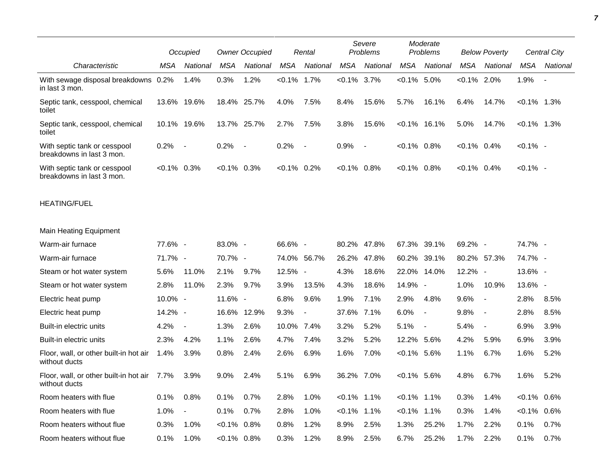|                                                           |                | Occupied                 |                | <b>Owner Occupied</b>    |                | Rental                   |                | Severe<br>Problems |                | Moderate<br>Problems         |                | <b>Below Poverty</b>     |                | <b>Central City</b> |
|-----------------------------------------------------------|----------------|--------------------------|----------------|--------------------------|----------------|--------------------------|----------------|--------------------|----------------|------------------------------|----------------|--------------------------|----------------|---------------------|
| Characteristic                                            | MSA            | National                 | <b>MSA</b>     | National                 | MSA            | National                 | <b>MSA</b>     | National           | <b>MSA</b>     | National                     | MSA            | National                 | <b>MSA</b>     | National            |
| With sewage disposal breakdowns 0.2%<br>in last 3 mon.    |                | 1.4%                     | 0.3%           | 1.2%                     | $< 0.1\%$      | 1.7%                     | $< 0.1\%$ 3.7% |                    | $< 0.1\%$ 5.0% |                              | $< 0.1\%$ 2.0% |                          | 1.9%           |                     |
| Septic tank, cesspool, chemical<br>toilet                 |                | 13.6% 19.6%              |                | 18.4% 25.7%              | 4.0%           | 7.5%                     | 8.4%           | 15.6%              | 5.7%           | 16.1%                        | 6.4%           | 14.7%                    | $< 0.1\%$ 1.3% |                     |
| Septic tank, cesspool, chemical<br>toilet                 | 10.1%          | 19.6%                    |                | 13.7% 25.7%              | 2.7%           | 7.5%                     | 3.8%           | 15.6%              |                | $< 0.1\%$ 16.1%              | 5.0%           | 14.7%                    | $< 0.1\%$ 1.3% |                     |
| With septic tank or cesspool<br>breakdowns in last 3 mon. | 0.2%           | $\sim$                   | 0.2%           | $\overline{\phantom{a}}$ | 0.2%           | $\overline{\phantom{a}}$ | 0.9%           | $\sim$ $-$         | $< 0.1\%$ 0.8% |                              | $< 0.1\%$ 0.4% |                          | $< 0.1\%$ -    |                     |
| With septic tank or cesspool<br>breakdowns in last 3 mon. | $< 0.1\%$ 0.3% |                          | $< 0.1\%$ 0.3% |                          | $< 0.1\%$ 0.2% |                          | $< 0.1\%$ 0.8% |                    | $< 0.1\%$ 0.8% |                              | $< 0.1\%$ 0.4% |                          | $< 0.1\%$ -    |                     |
| <b>HEATING/FUEL</b>                                       |                |                          |                |                          |                |                          |                |                    |                |                              |                |                          |                |                     |
| Main Heating Equipment                                    |                |                          |                |                          |                |                          |                |                    |                |                              |                |                          |                |                     |
| Warm-air furnace                                          | 77.6% -        |                          | 83.0% -        |                          | 66.6% -        |                          | 80.2% 47.8%    |                    | 67.3%          | 39.1%                        | 69.2% -        |                          | 74.7% -        |                     |
| Warm-air furnace                                          | 71.7% -        |                          | 70.7% -        |                          | 74.0%          | 56.7%                    | 26.2%          | 47.8%              | 60.2%          | 39.1%                        | 80.2% 57.3%    |                          | 74.7% -        |                     |
| Steam or hot water system                                 | 5.6%           | 11.0%                    | 2.1%           | 9.7%                     | 12.5% -        |                          | 4.3%           | 18.6%              | 22.0%          | 14.0%                        | 12.2% -        |                          | 13.6% -        |                     |
| Steam or hot water system                                 | 2.8%           | 11.0%                    | 2.3%           | 9.7%                     | 3.9%           | 13.5%                    | 4.3%           | 18.6%              | 14.9% -        |                              | 1.0%           | 10.9%                    | 13.6% -        |                     |
| Electric heat pump                                        | 10.0% -        |                          | 11.6% -        |                          | 6.8%           | 9.6%                     | 1.9%           | 7.1%               | 2.9%           | 4.8%                         | 9.6%           | $\overline{\phantom{a}}$ | 2.8%           | 8.5%                |
| Electric heat pump                                        | 14.2% -        |                          | 16.6%          | 12.9%                    | 9.3%           |                          | 37.6%          | 7.1%               | 6.0%           | $\qquad \qquad \blacksquare$ | 9.8%           | $\sim$                   | 2.8%           | 8.5%                |
| Built-in electric units                                   | 4.2%           | $\overline{\phantom{a}}$ | 1.3%           | 2.6%                     | 10.0%          | 7.4%                     | 3.2%           | 5.2%               | 5.1%           | $\blacksquare$               | 5.4%           | $\overline{\phantom{a}}$ | 6.9%           | 3.9%                |
| Built-in electric units                                   | 2.3%           | 4.2%                     | 1.1%           | 2.6%                     | 4.7%           | 7.4%                     | 3.2%           | 5.2%               | 12.2% 5.6%     |                              | 4.2%           | 5.9%                     | 6.9%           | 3.9%                |
| Floor, wall, or other built-in hot air<br>without ducts   | 1.4%           | 3.9%                     | 0.8%           | 2.4%                     | 2.6%           | 6.9%                     | 1.6%           | 7.0%               | $< 0.1\%$ 5.6% |                              | 1.1%           | 6.7%                     | 1.6%           | 5.2%                |
| Floor, wall, or other built-in hot air<br>without ducts   | 7.7%           | 3.9%                     | 9.0%           | 2.4%                     | 5.1%           | 6.9%                     | 36.2% 7.0%     |                    | $<0.1\%$ 5.6%  |                              | 4.8%           | 6.7%                     | 1.6%           | 5.2%                |
| Room heaters with flue                                    | 0.1%           | 0.8%                     | 0.1%           | 0.7%                     | 2.8%           | 1.0%                     | $< 0.1\%$ 1.1% |                    | $< 0.1\%$ 1.1% |                              | 0.3%           | 1.4%                     | $< 0.1\%$ 0.6% |                     |
| Room heaters with flue                                    | 1.0%           | $\blacksquare$           | 0.1%           | 0.7%                     | 2.8%           | 1.0%                     | $< 0.1\%$ 1.1% |                    | $< 0.1\%$ 1.1% |                              | 0.3%           | 1.4%                     | $< 0.1\%$ 0.6% |                     |
| Room heaters without flue                                 | 0.3%           | 1.0%                     | $<0.1\%$ 0.8%  |                          | 0.8%           | 1.2%                     | 8.9%           | 2.5%               | 1.3%           | 25.2%                        | 1.7%           | 2.2%                     | 0.1%           | 0.7%                |
| Room heaters without flue                                 | 0.1%           | 1.0%                     | $< 0.1\%$ 0.8% |                          | 0.3%           | 1.2%                     | 8.9%           | 2.5%               | 6.7%           | 25.2%                        | 1.7%           | 2.2%                     | 0.1%           | 0.7%                |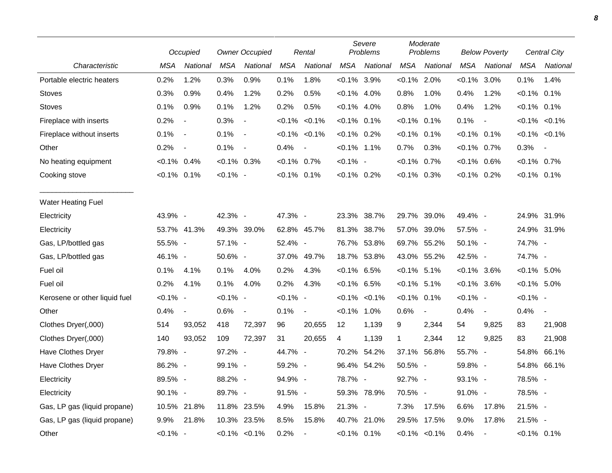|                               |                | Occupied                 |               | <b>Owner Occupied</b>    |                | Rental           |                | Severe<br>Problems  |                | Moderate<br>Problems     |                | <b>Below Poverty</b>     |                | <b>Central City</b>      |
|-------------------------------|----------------|--------------------------|---------------|--------------------------|----------------|------------------|----------------|---------------------|----------------|--------------------------|----------------|--------------------------|----------------|--------------------------|
| Characteristic                | MSA            | National                 | <b>MSA</b>    | National                 | <b>MSA</b>     | National         | <b>MSA</b>     | National            | <b>MSA</b>     | National                 | <b>MSA</b>     | National                 | <b>MSA</b>     | National                 |
| Portable electric heaters     | 0.2%           | 1.2%                     | 0.3%          | 0.9%                     | 0.1%           | 1.8%             | $< 0.1\%$ 3.9% |                     | $< 0.1\%$ 2.0% |                          | $< 0.1\%$      | 3.0%                     | 0.1%           | 1.4%                     |
| <b>Stoves</b>                 | 0.3%           | 0.9%                     | 0.4%          | 1.2%                     | 0.2%           | 0.5%             | $< 0.1\%$ 4.0% |                     | 0.8%           | 1.0%                     | 0.4%           | 1.2%                     | $< 0.1\%$ 0.1% |                          |
| <b>Stoves</b>                 | 0.1%           | 0.9%                     | 0.1%          | 1.2%                     | 0.2%           | 0.5%             | $< 0.1\%$ 4.0% |                     | 0.8%           | 1.0%                     | 0.4%           | 1.2%                     | $< 0.1\%$ 0.1% |                          |
| Fireplace with inserts        | 0.2%           | $\overline{\phantom{a}}$ | 0.3%          | $\overline{\phantom{a}}$ | $< 0.1\%$      | $< 0.1\%$        | $< 0.1\%$ 0.1% |                     | $< 0.1\%$      | 0.1%                     | 0.1%           | $\overline{\phantom{a}}$ |                | $< 0.1\%$ $< 0.1\%$      |
| Fireplace without inserts     | 0.1%           | $\overline{\phantom{a}}$ | 0.1%          | $\overline{\phantom{a}}$ |                | $< 0.1\%$ < 0.1% | $< 0.1\%$ 0.2% |                     | $< 0.1\%$ 0.1% |                          | $< 0.1\%$ 0.1% |                          |                | $< 0.1\% < 0.1\%$        |
| Other                         | 0.2%           | $\blacksquare$           | 0.1%          | $\blacksquare$           | 0.4%           | $\blacksquare$   | $< 0.1\%$ 1.1% |                     | 0.7%           | 0.3%                     | $< 0.1\%$ 0.7% |                          | 0.3%           | $\overline{\phantom{a}}$ |
| No heating equipment          | $< 0.1\%$ 0.4% |                          | $<0.1\%$ 0.3% |                          | $< 0.1\%$ 0.7% |                  | $< 0.1\%$ -    |                     | $<0.1\%$ 0.7%  |                          | $< 0.1\%$ 0.6% |                          | $< 0.1\%$ 0.7% |                          |
| Cooking stove                 | $< 0.1\%$ 0.1% |                          | $< 0.1\%$ -   |                          | $< 0.1\%$ 0.1% |                  | $< 0.1\%$ 0.2% |                     | $< 0.1\%$ 0.3% |                          | $< 0.1\%$ 0.2% |                          | $< 0.1\%$ 0.1% |                          |
| <b>Water Heating Fuel</b>     |                |                          |               |                          |                |                  |                |                     |                |                          |                |                          |                |                          |
| Electricity                   | 43.9% -        |                          | 42.3% -       |                          | 47.3% -        |                  | 23.3% 38.7%    |                     |                | 29.7% 39.0%              | 49.4% -        |                          |                | 24.9% 31.9%              |
| Electricity                   |                | 53.7% 41.3%              |               | 49.3% 39.0%              |                | 62.8% 45.7%      | 81.3%          | 38.7%               |                | 57.0% 39.0%              | 57.5% -        |                          |                | 24.9% 31.9%              |
| Gas, LP/bottled gas           | 55.5% -        |                          | 57.1% -       |                          | 52.4% -        |                  | 76.7% 53.8%    |                     |                | 69.7% 55.2%              | 50.1% -        |                          | 74.7% -        |                          |
| Gas, LP/bottled gas           | 46.1% -        |                          | 50.6% -       |                          |                | 37.0% 49.7%      |                | 18.7% 53.8%         |                | 43.0% 55.2%              | 42.5% -        |                          | 74.7% -        |                          |
| Fuel oil                      | 0.1%           | 4.1%                     | 0.1%          | 4.0%                     | 0.2%           | 4.3%             | $< 0.1\%$ 6.5% |                     | $< 0.1\%$ 5.1% |                          | $< 0.1\%$ 3.6% |                          | $< 0.1\%$ 5.0% |                          |
| Fuel oil                      | 0.2%           | 4.1%                     | 0.1%          | 4.0%                     | 0.2%           | 4.3%             | $< 0.1\%$ 6.5% |                     | $< 0.1\%$ 5.1% |                          | $< 0.1\%$ 3.6% |                          | $< 0.1\%$ 5.0% |                          |
| Kerosene or other liquid fuel | $< 0.1\%$ -    |                          | $< 0.1\%$ -   |                          | $< 0.1\%$ -    |                  |                | $< 0.1\%$ $< 0.1\%$ | $< 0.1\%$ 0.1% |                          | $< 0.1\%$ -    |                          | $< 0.1\%$ -    |                          |
| Other                         | 0.4%           | $\overline{\phantom{a}}$ | 0.6%          | $\blacksquare$           | 0.1%           | $\blacksquare$   | $< 0.1\%$ 1.0% |                     | 0.6%           | $\overline{\phantom{a}}$ | 0.4%           | $\overline{\phantom{a}}$ | 0.4%           | $\blacksquare$           |
| Clothes Dryer(,000)           | 514            | 93,052                   | 418           | 72,397                   | 96             | 20,655           | 12             | 1,139               | 9              | 2,344                    | 54             | 9,825                    | 83             | 21,908                   |
| Clothes Dryer(,000)           | 140            | 93,052                   | 109           | 72,397                   | 31             | 20,655           | 4              | 1,139               | 1              | 2,344                    | 12             | 9,825                    | 83             | 21,908                   |
| Have Clothes Dryer            | 79.8% -        |                          | 97.2% -       |                          | 44.7% -        |                  | 70.2%          | 54.2%               |                | 37.1% 56.8%              | 55.7% -        |                          | 54.8%          | 66.1%                    |
| Have Clothes Dryer            | 86.2% -        |                          | 99.1% -       |                          | 59.2% -        |                  | 96.4% 54.2%    |                     | 50.5% -        |                          | 59.8% -        |                          |                | 54.8% 66.1%              |
| Electricity                   | 89.5% -        |                          | 88.2% -       |                          | 94.9% -        |                  | 78.7% -        |                     | 92.7% -        |                          | 93.1% -        |                          | 78.5% -        |                          |
| Electricity                   | 90.1% -        |                          | 89.7% -       |                          | 91.5% -        |                  |                | 59.3% 78.9%         | 70.5% -        |                          | 91.0% -        |                          | 78.5% -        |                          |
| Gas, LP gas (liquid propane)  |                | 10.5% 21.8%              |               | 11.8% 23.5%              | 4.9%           | 15.8%            | 21.3% -        |                     | 7.3%           | 17.5%                    | 6.6%           | 17.8%                    | 21.5% -        |                          |
| Gas, LP gas (liquid propane)  | 9.9%           | 21.8%                    |               | 10.3% 23.5%              | 8.5%           | 15.8%            |                | 40.7% 21.0%         |                | 29.5% 17.5%              | 9.0%           | 17.8%                    | 21.5% -        |                          |
| Other                         | $< 0.1\%$ -    |                          |               | $< 0.1\% < 0.1\%$        | 0.2%           | $\sim$           | $< 0.1\%$ 0.1% |                     |                | $< 0.1\% < 0.1\%$        | 0.4%           | $\overline{\phantom{a}}$ | $< 0.1\%$ 0.1% |                          |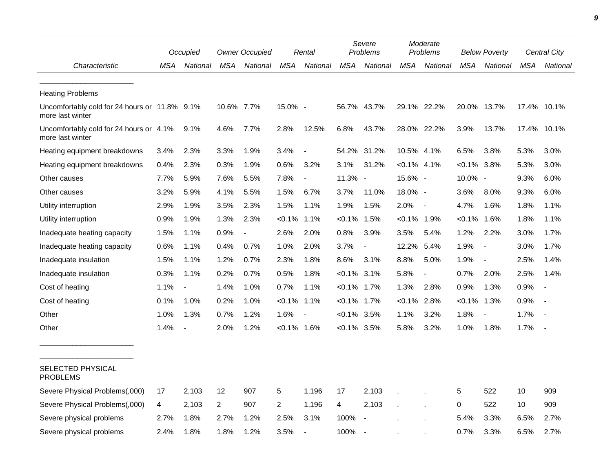|                                                                   |      | Occupied                 |                | <b>Owner Occupied</b> |                | Rental                   |                | Severe<br><b>Problems</b> |                | Moderate<br>Problems     |                | <b>Below Poverty</b>     |      | Central City |
|-------------------------------------------------------------------|------|--------------------------|----------------|-----------------------|----------------|--------------------------|----------------|---------------------------|----------------|--------------------------|----------------|--------------------------|------|--------------|
| Characteristic                                                    | MSA  | National                 | MSA            | National              | MSA            | National                 | MSA            | National                  | MSA            | National                 | MSA            | National                 | MSA  | National     |
| <b>Heating Problems</b>                                           |      |                          |                |                       |                |                          |                |                           |                |                          |                |                          |      |              |
| Uncomfortably cold for 24 hours or 11.8% 9.1%<br>more last winter |      |                          | 10.6% 7.7%     |                       | 15.0% -        |                          |                | 56.7% 43.7%               |                | 29.1% 22.2%              |                | 20.0% 13.7%              |      | 17.4% 10.1%  |
| Uncomfortably cold for 24 hours or 4.1%<br>more last winter       |      | 9.1%                     | 4.6%           | 7.7%                  | 2.8%           | 12.5%                    | 6.8%           | 43.7%                     |                | 28.0% 22.2%              | 3.9%           | 13.7%                    |      | 17.4% 10.1%  |
| Heating equipment breakdowns                                      | 3.4% | 2.3%                     | 3.3%           | 1.9%                  | 3.4%           |                          | 54.2%          | 31.2%                     | 10.5%          | 4.1%                     | 6.5%           | 3.8%                     | 5.3% | 3.0%         |
| Heating equipment breakdowns                                      | 0.4% | 2.3%                     | 0.3%           | 1.9%                  | 0.6%           | 3.2%                     | 3.1%           | 31.2%                     | $< 0.1\%$ 4.1% |                          | $< 0.1\%$      | 3.8%                     | 5.3% | 3.0%         |
| Other causes                                                      | 7.7% | 5.9%                     | 7.6%           | 5.5%                  | 7.8%           | $\blacksquare$           | 11.3% -        |                           | 15.6% -        |                          | 10.0% -        |                          | 9.3% | 6.0%         |
| Other causes                                                      | 3.2% | 5.9%                     | 4.1%           | 5.5%                  | 1.5%           | 6.7%                     | 3.7%           | 11.0%                     | 18.0% -        |                          | 3.6%           | 8.0%                     | 9.3% | 6.0%         |
| Utility interruption                                              | 2.9% | 1.9%                     | 3.5%           | 2.3%                  | 1.5%           | 1.1%                     | 1.9%           | 1.5%                      | 2.0%           | $\overline{\phantom{a}}$ | 4.7%           | 1.6%                     | 1.8% | 1.1%         |
| Utility interruption                                              | 0.9% | 1.9%                     | 1.3%           | 2.3%                  | $< 0.1\%$      | 1.1%                     | $< 0.1\%$      | 1.5%                      | $< 0.1\%$ 1.9% |                          | <0.1%          | 1.6%                     | 1.8% | 1.1%         |
| Inadequate heating capacity                                       | 1.5% | 1.1%                     | 0.9%           | $\overline{a}$        | 2.6%           | 2.0%                     | 0.8%           | 3.9%                      | $3.5\%$        | 5.4%                     | 1.2%           | 2.2%                     | 3.0% | 1.7%         |
| Inadequate heating capacity                                       | 0.6% | 1.1%                     | 0.4%           | 0.7%                  | 1.0%           | 2.0%                     | 3.7%           |                           | 12.2%          | 5.4%                     | 1.9%           | $\overline{\phantom{a}}$ | 3.0% | 1.7%         |
| Inadequate insulation                                             | 1.5% | 1.1%                     | 1.2%           | 0.7%                  | 2.3%           | 1.8%                     | 8.6%           | 3.1%                      | 8.8%           | 5.0%                     | 1.9%           | $\overline{\phantom{a}}$ | 2.5% | 1.4%         |
| Inadequate insulation                                             | 0.3% | 1.1%                     | 0.2%           | 0.7%                  | 0.5%           | 1.8%                     | $< 0.1\%$ 3.1% |                           | 5.8%           | $\overline{\phantom{a}}$ | 0.7%           | 2.0%                     | 2.5% | 1.4%         |
| Cost of heating                                                   | 1.1% | $\overline{\phantom{a}}$ | 1.4%           | 1.0%                  | 0.7%           | 1.1%                     | $< 0.1\%$ 1.7% |                           | 1.3%           | 2.8%                     | 0.9%           | 1.3%                     | 0.9% |              |
| Cost of heating                                                   | 0.1% | 1.0%                     | 0.2%           | 1.0%                  | $< 0.1\%$      | 1.1%                     | $< 0.1\%$ 1.7% |                           | $< 0.1\%$ 2.8% |                          | $< 0.1\%$ 1.3% |                          | 0.9% |              |
| Other                                                             | 1.0% | 1.3%                     | 0.7%           | 1.2%                  | 1.6%           |                          | $< 0.1\%$ 3.5% |                           | 1.1%           | 3.2%                     | 1.8%           | $\overline{\phantom{a}}$ | 1.7% |              |
| Other                                                             | 1.4% | $\blacksquare$           | 2.0%           | 1.2%                  | $< 0.1\%$ 1.6% |                          | $< 0.1\%$ 3.5% |                           | 5.8%           | 3.2%                     | 1.0%           | 1.8%                     | 1.7% |              |
| <b>SELECTED PHYSICAL</b><br><b>PROBLEMS</b>                       |      |                          |                |                       |                |                          |                |                           |                |                          |                |                          |      |              |
| Severe Physical Problems(,000)                                    | 17   | 2,103                    | 12             | 907                   | 5              | 1,196                    | 17             | 2,103                     |                |                          | 5              | 522                      | 10   | 909          |
| Severe Physical Problems(,000)                                    | 4    | 2.103                    | $\overline{2}$ | 907                   | 2              | 1,196                    | 4              | 2,103                     |                |                          | $\Omega$       | 522                      | 10   | 909          |
| Severe physical problems                                          | 2.7% | 1.8%                     | 2.7%           | 1.2%                  | 2.5%           | 3.1%                     | 100%           |                           |                |                          | 5.4%           | 3.3%                     | 6.5% | 2.7%         |
| Severe physical problems                                          | 2.4% | 1.8%                     | 1.8%           | 1.2%                  | 3.5%           | $\overline{\phantom{a}}$ | 100%           |                           |                |                          | 0.7%           | 3.3%                     | 6.5% | 2.7%         |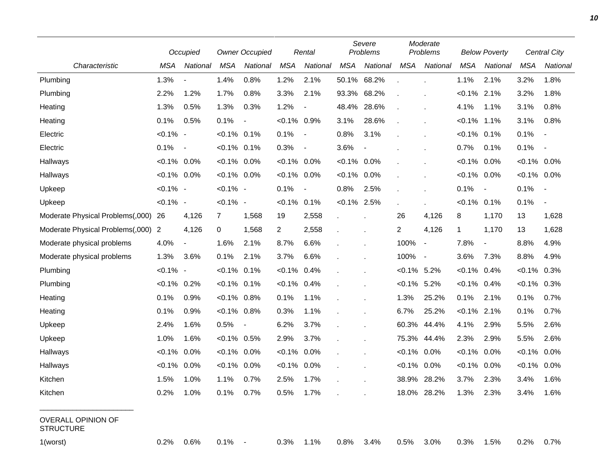|                                               |                | Occupied                 |                | <b>Owner Occupied</b>    |                | Rental                   |                | Severe<br>Problems |                         | Moderate<br>Problems     |                | <b>Below Poverty</b>     |                | Central City             |
|-----------------------------------------------|----------------|--------------------------|----------------|--------------------------|----------------|--------------------------|----------------|--------------------|-------------------------|--------------------------|----------------|--------------------------|----------------|--------------------------|
| Characteristic                                | MSA            | National                 | <b>MSA</b>     | National                 | <b>MSA</b>     | National                 | MSA            | National           | <b>MSA</b>              | National                 | <b>MSA</b>     | National                 | <b>MSA</b>     | National                 |
| Plumbing                                      | 1.3%           | $\overline{\phantom{a}}$ | 1.4%           | 0.8%                     | 1.2%           | 2.1%                     | 50.1%          | 68.2%              |                         |                          | 1.1%           | 2.1%                     | 3.2%           | 1.8%                     |
| Plumbing                                      | 2.2%           | 1.2%                     | 1.7%           | 0.8%                     | 3.3%           | 2.1%                     | 93.3%          | 68.2%              |                         |                          | $< 0.1\%$      | 2.1%                     | 3.2%           | 1.8%                     |
| Heating                                       | 1.3%           | 0.5%                     | 1.3%           | 0.3%                     | 1.2%           | $\overline{\phantom{a}}$ | 48.4%          | 28.6%              |                         |                          | 4.1%           | 1.1%                     | 3.1%           | 0.8%                     |
| Heating                                       | 0.1%           | 0.5%                     | 0.1%           | $\blacksquare$           | $< 0.1\%$      | $0.9\%$                  | 3.1%           | 28.6%              | ä,                      |                          | $< 0.1\%$      | 1.1%                     | 3.1%           | 0.8%                     |
| Electric                                      | $< 0.1\%$ -    |                          | $< 0.1\%$ 0.1% |                          | 0.1%           | $\blacksquare$           | 0.8%           | 3.1%               |                         |                          | $< 0.1\%$ 0.1% |                          | 0.1%           | $\blacksquare$           |
| Electric                                      | 0.1%           | $\blacksquare$           | $< 0.1\%$ 0.1% |                          | 0.3%           | $\overline{\phantom{0}}$ | 3.6%           | $\blacksquare$     |                         |                          | 0.7%           | 0.1%                     | 0.1%           | $\overline{\phantom{a}}$ |
| Hallways                                      | $< 0.1\%$ 0.0% |                          | $< 0.1\%$ 0.0% |                          | $< 0.1\%$ 0.0% |                          | $< 0.1\%$ 0.0% |                    |                         |                          | $< 0.1\%$ 0.0% |                          | $< 0.1\%$ 0.0% |                          |
| Hallways                                      | $< 0.1\%$ 0.0% |                          | $< 0.1\%$ 0.0% |                          | $< 0.1\%$ 0.0% |                          | $< 0.1\%$ 0.0% |                    | ä,                      |                          | $< 0.1\%$ 0.0% |                          | $< 0.1\%$ 0.0% |                          |
| Upkeep                                        | $< 0.1\%$ -    |                          | $< 0.1\%$ -    |                          | 0.1%           |                          | 0.8%           | 2.5%               |                         |                          | 0.1%           | $\overline{\phantom{a}}$ | 0.1%           | $\blacksquare$           |
| Upkeep                                        | $< 0.1\%$ -    |                          | $< 0.1\%$ -    |                          | $< 0.1\%$ 0.1% |                          | $< 0.1\%$ 2.5% |                    |                         |                          | $< 0.1\%$ 0.1% |                          | 0.1%           | $\overline{\phantom{a}}$ |
| Moderate Physical Problems(,000)              | 26             | 4,126                    | $\overline{7}$ | 1,568                    | 19             | 2,558                    |                |                    | 26                      | 4,126                    | 8              | 1,170                    | 13             | 1,628                    |
| Moderate Physical Problems(,000)              | 2              | 4,126                    | 0              | 1,568                    | 2              | 2,558                    |                |                    | $\overline{\mathbf{c}}$ | 4,126                    | 1              | 1,170                    | 13             | 1,628                    |
| Moderate physical problems                    | 4.0%           | $\blacksquare$           | 1.6%           | 2.1%                     | 8.7%           | 6.6%                     |                |                    | 100%                    | $\overline{\phantom{a}}$ | 7.8%           | $\overline{\phantom{a}}$ | 8.8%           | 4.9%                     |
| Moderate physical problems                    | 1.3%           | 3.6%                     | 0.1%           | 2.1%                     | 3.7%           | 6.6%                     |                |                    | 100%                    | $\sim$                   | 3.6%           | 7.3%                     | 8.8%           | 4.9%                     |
| Plumbing                                      | $< 0.1\%$ -    |                          | $< 0.1\%$ 0.1% |                          | $< 0.1\%$      | 0.4%                     |                |                    | $< 0.1\%$               | 5.2%                     | $< 0.1\%$      | 0.4%                     | $< 0.1\%$      | 0.3%                     |
| Plumbing                                      | $< 0.1\%$      | 0.2%                     | $< 0.1\%$ 0.1% |                          | $<0.1\%$       | 0.4%                     |                |                    | $< 0.1\%$               | 5.2%                     | $< 0.1\%$      | 0.4%                     | $< 0.1\%$      | 0.3%                     |
| Heating                                       | 0.1%           | 0.9%                     | $< 0.1\%$ 0.8% |                          | 0.1%           | 1.1%                     |                |                    | 1.3%                    | 25.2%                    | 0.1%           | 2.1%                     | 0.1%           | 0.7%                     |
| Heating                                       | 0.1%           | 0.9%                     | $< 0.1\%$ 0.8% |                          | 0.3%           | 1.1%                     |                |                    | 6.7%                    | 25.2%                    | $< 0.1\%$      | 2.1%                     | 0.1%           | 0.7%                     |
| Upkeep                                        | 2.4%           | 1.6%                     | 0.5%           | $\overline{\phantom{a}}$ | 6.2%           | 3.7%                     |                |                    | 60.3%                   | 44.4%                    | 4.1%           | 2.9%                     | 5.5%           | 2.6%                     |
| Upkeep                                        | 1.0%           | 1.6%                     | $< 0.1\%$ 0.5% |                          | 2.9%           | 3.7%                     |                |                    | 75.3%                   | 44.4%                    | 2.3%           | 2.9%                     | 5.5%           | 2.6%                     |
| Hallways                                      | $< 0.1\%$      | 0.0%                     | $< 0.1\%$ 0.0% |                          | $< 0.1\%$      | 0.0%                     |                |                    | $< 0.1\%$               | 0.0%                     | $< 0.1\%$      | 0.0%                     | $< 0.1\%$      | 0.0%                     |
| Hallways                                      | $< 0.1\%$      | $0.0\%$                  | $< 0.1\%$ 0.0% |                          | $< 0.1\%$ 0.0% |                          |                |                    | $< 0.1\%$               | 0.0%                     | $< 0.1\%$      | $0.0\%$                  | $< 0.1\%$ 0.0% |                          |
| Kitchen                                       | 1.5%           | $1.0\%$                  | 1.1%           | 0.7%                     | 2.5%           | 1.7%                     |                |                    | 38.9%                   | 28.2%                    | $3.7\%$        | $2.3\%$                  | 3.4%           | $1.6\%$                  |
| Kitchen                                       | 0.2%           | 1.0%                     | $0.1\%$ 0.7%   |                          | 0.5%           | 1.7%                     |                |                    |                         | 18.0% 28.2%              | 1.3%           | 2.3%                     | 3.4%           | 1.6%                     |
| <b>OVERALL OPINION OF</b><br><b>STRUCTURE</b> |                |                          |                |                          |                |                          |                |                    |                         |                          |                |                          |                |                          |
| 1(worst)                                      | 0.2%           | 0.6%                     | $0.1\%$ -      |                          | 0.3%           | 1.1%                     | 0.8%           | 3.4%               | 0.5%                    | 3.0%                     | 0.3%           | 1.5%                     | 0.2%           | 0.7%                     |